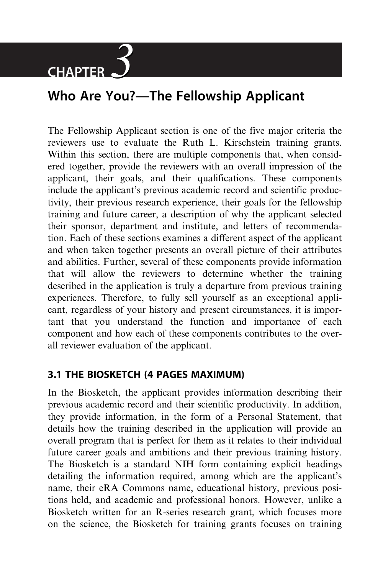

# Who Are You?—The Fellowship Applicant

The Fellowship Applicant section is one of the five major criteria the reviewers use to evaluate the Ruth L. Kirschstein training grants. Within this section, there are multiple components that, when considered together, provide the reviewers with an overall impression of the applicant, their goals, and their qualifications. These components include the applicant's previous academic record and scientific productivity, their previous research experience, their goals for the fellowship training and future career, a description of why the applicant selected their sponsor, department and institute, and letters of recommendation. Each of these sections examines a different aspect of the applicant and when taken together presents an overall picture of their attributes and abilities. Further, several of these components provide information that will allow the reviewers to determine whether the training described in the application is truly a departure from previous training experiences. Therefore, to fully sell yourself as an exceptional applicant, regardless of your history and present circumstances, it is important that you understand the function and importance of each component and how each of these components contributes to the overall reviewer evaluation of the applicant.

## 3.1 THE BIOSKETCH (4 PAGES MAXIMUM)

In the Biosketch, the applicant provides information describing their previous academic record and their scientific productivity. In addition, they provide information, in the form of a Personal Statement, that details how the training described in the application will provide an overall program that is perfect for them as it relates to their individual future career goals and ambitions and their previous training history. The Biosketch is a standard NIH form containing explicit headings detailing the information required, among which are the applicant's name, their eRA Commons name, educational history, previous positions held, and academic and professional honors. However, unlike a Biosketch written for an R-series research grant, which focuses more on the science, the Biosketch for training grants focuses on training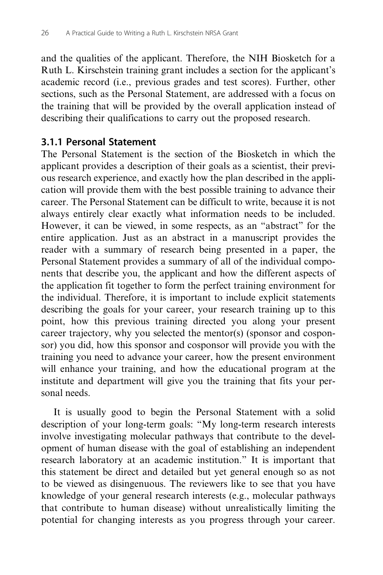and the qualities of the applicant. Therefore, the NIH Biosketch for a Ruth L. Kirschstein training grant includes a section for the applicant's academic record (i.e., previous grades and test scores). Further, other sections, such as the Personal Statement, are addressed with a focus on the training that will be provided by the overall application instead of describing their qualifications to carry out the proposed research.

## 3.1.1 Personal Statement

The Personal Statement is the section of the Biosketch in which the applicant provides a description of their goals as a scientist, their previous research experience, and exactly how the plan described in the application will provide them with the best possible training to advance their career. The Personal Statement can be difficult to write, because it is not always entirely clear exactly what information needs to be included. However, it can be viewed, in some respects, as an "abstract" for the entire application. Just as an abstract in a manuscript provides the reader with a summary of research being presented in a paper, the Personal Statement provides a summary of all of the individual components that describe you, the applicant and how the different aspects of the application fit together to form the perfect training environment for the individual. Therefore, it is important to include explicit statements describing the goals for your career, your research training up to this point, how this previous training directed you along your present career trajectory, why you selected the mentor(s) (sponsor and cosponsor) you did, how this sponsor and cosponsor will provide you with the training you need to advance your career, how the present environment will enhance your training, and how the educational program at the institute and department will give you the training that fits your personal needs.

It is usually good to begin the Personal Statement with a solid description of your long-term goals: "My long-term research interests involve investigating molecular pathways that contribute to the development of human disease with the goal of establishing an independent research laboratory at an academic institution." It is important that this statement be direct and detailed but yet general enough so as not to be viewed as disingenuous. The reviewers like to see that you have knowledge of your general research interests (e.g., molecular pathways that contribute to human disease) without unrealistically limiting the potential for changing interests as you progress through your career.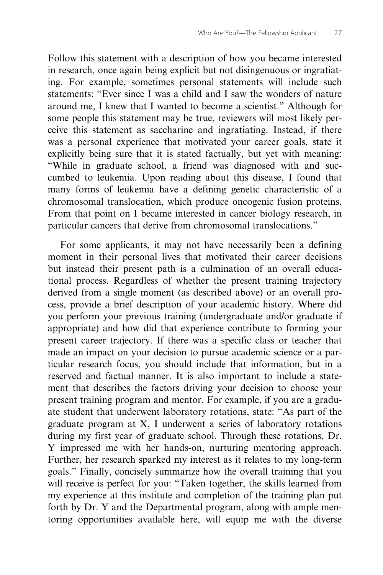Follow this statement with a description of how you became interested in research, once again being explicit but not disingenuous or ingratiating. For example, sometimes personal statements will include such statements: "Ever since I was a child and I saw the wonders of nature around me, I knew that I wanted to become a scientist." Although for some people this statement may be true, reviewers will most likely perceive this statement as saccharine and ingratiating. Instead, if there was a personal experience that motivated your career goals, state it explicitly being sure that it is stated factually, but yet with meaning: "While in graduate school, a friend was diagnosed with and succumbed to leukemia. Upon reading about this disease, I found that many forms of leukemia have a defining genetic characteristic of a chromosomal translocation, which produce oncogenic fusion proteins. From that point on I became interested in cancer biology research, in particular cancers that derive from chromosomal translocations."

For some applicants, it may not have necessarily been a defining moment in their personal lives that motivated their career decisions but instead their present path is a culmination of an overall educational process. Regardless of whether the present training trajectory derived from a single moment (as described above) or an overall process, provide a brief description of your academic history. Where did you perform your previous training (undergraduate and/or graduate if appropriate) and how did that experience contribute to forming your present career trajectory. If there was a specific class or teacher that made an impact on your decision to pursue academic science or a particular research focus, you should include that information, but in a reserved and factual manner. It is also important to include a statement that describes the factors driving your decision to choose your present training program and mentor. For example, if you are a graduate student that underwent laboratory rotations, state: "As part of the graduate program at X, I underwent a series of laboratory rotations during my first year of graduate school. Through these rotations, Dr. Y impressed me with her hands-on, nurturing mentoring approach. Further, her research sparked my interest as it relates to my long-term goals." Finally, concisely summarize how the overall training that you will receive is perfect for you: "Taken together, the skills learned from my experience at this institute and completion of the training plan put forth by Dr. Y and the Departmental program, along with ample mentoring opportunities available here, will equip me with the diverse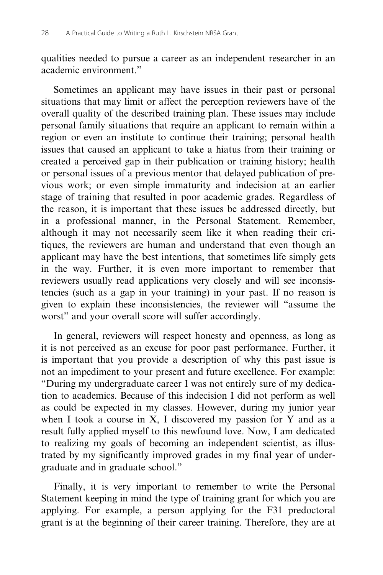qualities needed to pursue a career as an independent researcher in an academic environment."

Sometimes an applicant may have issues in their past or personal situations that may limit or affect the perception reviewers have of the overall quality of the described training plan. These issues may include personal family situations that require an applicant to remain within a region or even an institute to continue their training; personal health issues that caused an applicant to take a hiatus from their training or created a perceived gap in their publication or training history; health or personal issues of a previous mentor that delayed publication of previous work; or even simple immaturity and indecision at an earlier stage of training that resulted in poor academic grades. Regardless of the reason, it is important that these issues be addressed directly, but in a professional manner, in the Personal Statement. Remember, although it may not necessarily seem like it when reading their critiques, the reviewers are human and understand that even though an applicant may have the best intentions, that sometimes life simply gets in the way. Further, it is even more important to remember that reviewers usually read applications very closely and will see inconsistencies (such as a gap in your training) in your past. If no reason is given to explain these inconsistencies, the reviewer will "assume the worst" and your overall score will suffer accordingly.

In general, reviewers will respect honesty and openness, as long as it is not perceived as an excuse for poor past performance. Further, it is important that you provide a description of why this past issue is not an impediment to your present and future excellence. For example: "During my undergraduate career I was not entirely sure of my dedication to academics. Because of this indecision I did not perform as well as could be expected in my classes. However, during my junior year when I took a course in  $X$ , I discovered my passion for Y and as a result fully applied myself to this newfound love. Now, I am dedicated to realizing my goals of becoming an independent scientist, as illustrated by my significantly improved grades in my final year of undergraduate and in graduate school."

Finally, it is very important to remember to write the Personal Statement keeping in mind the type of training grant for which you are applying. For example, a person applying for the F31 predoctoral grant is at the beginning of their career training. Therefore, they are at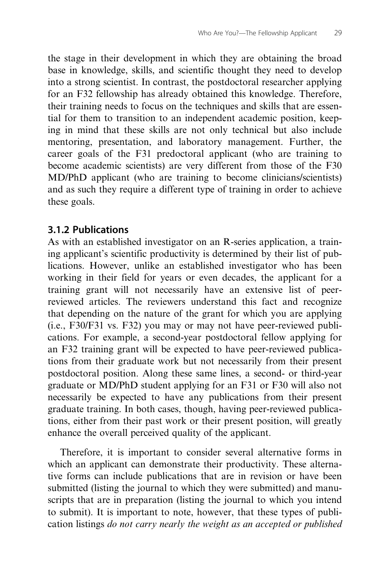the stage in their development in which they are obtaining the broad base in knowledge, skills, and scientific thought they need to develop into a strong scientist. In contrast, the postdoctoral researcher applying for an F32 fellowship has already obtained this knowledge. Therefore, their training needs to focus on the techniques and skills that are essential for them to transition to an independent academic position, keeping in mind that these skills are not only technical but also include mentoring, presentation, and laboratory management. Further, the career goals of the F31 predoctoral applicant (who are training to become academic scientists) are very different from those of the F30 MD/PhD applicant (who are training to become clinicians/scientists) and as such they require a different type of training in order to achieve these goals.

#### 3.1.2 Publications

As with an established investigator on an R-series application, a training applicant's scientific productivity is determined by their list of publications. However, unlike an established investigator who has been working in their field for years or even decades, the applicant for a training grant will not necessarily have an extensive list of peerreviewed articles. The reviewers understand this fact and recognize that depending on the nature of the grant for which you are applying (i.e., F30/F31 vs. F32) you may or may not have peer-reviewed publications. For example, a second-year postdoctoral fellow applying for an F32 training grant will be expected to have peer-reviewed publications from their graduate work but not necessarily from their present postdoctoral position. Along these same lines, a second- or third-year graduate or MD/PhD student applying for an F31 or F30 will also not necessarily be expected to have any publications from their present graduate training. In both cases, though, having peer-reviewed publications, either from their past work or their present position, will greatly enhance the overall perceived quality of the applicant.

Therefore, it is important to consider several alternative forms in which an applicant can demonstrate their productivity. These alternative forms can include publications that are in revision or have been submitted (listing the journal to which they were submitted) and manuscripts that are in preparation (listing the journal to which you intend to submit). It is important to note, however, that these types of publication listings do not carry nearly the weight as an accepted or published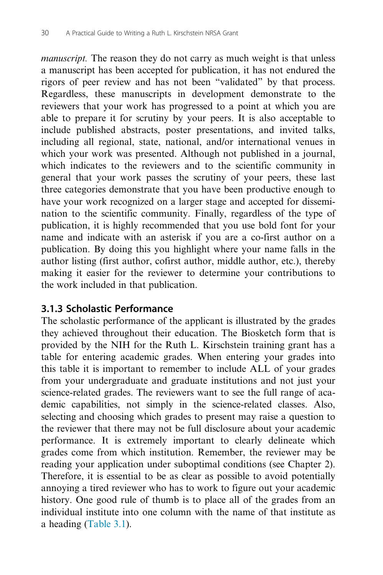manuscript. The reason they do not carry as much weight is that unless a manuscript has been accepted for publication, it has not endured the rigors of peer review and has not been "validated" by that process. Regardless, these manuscripts in development demonstrate to the reviewers that your work has progressed to a point at which you are able to prepare it for scrutiny by your peers. It is also acceptable to include published abstracts, poster presentations, and invited talks, including all regional, state, national, and/or international venues in which your work was presented. Although not published in a journal, which indicates to the reviewers and to the scientific community in general that your work passes the scrutiny of your peers, these last three categories demonstrate that you have been productive enough to have your work recognized on a larger stage and accepted for dissemination to the scientific community. Finally, regardless of the type of publication, it is highly recommended that you use bold font for your name and indicate with an asterisk if you are a co-first author on a publication. By doing this you highlight where your name falls in the author listing (first author, cofirst author, middle author, etc.), thereby making it easier for the reviewer to determine your contributions to the work included in that publication.

## 3.1.3 Scholastic Performance

The scholastic performance of the applicant is illustrated by the grades they achieved throughout their education. The Biosketch form that is provided by the NIH for the Ruth L. Kirschstein training grant has a table for entering academic grades. When entering your grades into this table it is important to remember to include ALL of your grades from your undergraduate and graduate institutions and not just your science-related grades. The reviewers want to see the full range of academic capabilities, not simply in the science-related classes. Also, selecting and choosing which grades to present may raise a question to the reviewer that there may not be full disclosure about your academic performance. It is extremely important to clearly delineate which grades come from which institution. Remember, the reviewer may be reading your application under suboptimal conditions (see Chapter 2). Therefore, it is essential to be as clear as possible to avoid potentially annoying a tired reviewer who has to work to figure out your academic history. One good rule of thumb is to place all of the grades from an individual institute into one column with the name of that institute as a heading ([Table 3.1](#page-6-0)).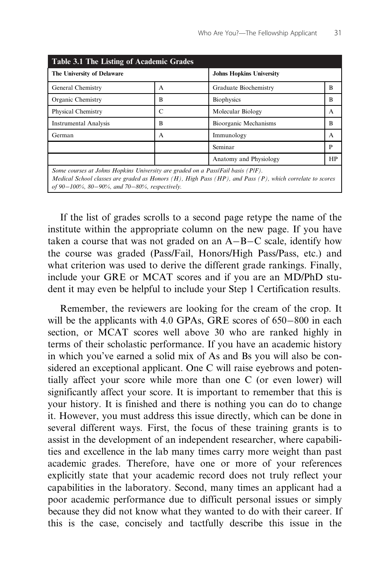<span id="page-6-0"></span>

| Table 3.1 The Listing of Academic Grades                                        |   |                                                                                                                   |    |  |  |
|---------------------------------------------------------------------------------|---|-------------------------------------------------------------------------------------------------------------------|----|--|--|
| The University of Delaware                                                      |   | <b>Johns Hopkins University</b>                                                                                   |    |  |  |
| General Chemistry                                                               | А | Graduate Biochemistry                                                                                             | B  |  |  |
| Organic Chemistry                                                               | B | <b>Biophysics</b>                                                                                                 | B  |  |  |
| Physical Chemistry                                                              |   | Molecular Biology                                                                                                 | А  |  |  |
| <b>Instrumental Analysis</b>                                                    | B | Bioorganic Mechanisms                                                                                             | B  |  |  |
| German                                                                          | A | Immunology                                                                                                        | A  |  |  |
|                                                                                 |   | Seminar                                                                                                           | P  |  |  |
|                                                                                 |   | Anatomy and Physiology                                                                                            | HP |  |  |
| Some courses at Johns Hopkins University are graded on a Pass/Fail basis (P/F). |   | Medical School classes are graded as Honors $(H)$ , High Pass $(HP)$ , and Pass $(P)$ , which correlate to scores |    |  |  |

If the list of grades scrolls to a second page retype the name of the institute within the appropriate column on the new page. If you have taken a course that was not graded on an  $A-B-C$  scale, identify how the course was graded (Pass/Fail, Honors/High Pass/Pass, etc.) and what criterion was used to derive the different grade rankings. Finally,

of 90 $-100\%$ , 80 $-90\%$ , and 70 $-80\%$ , respectively.

include your GRE or MCAT scores and if you are an MD/PhD student it may even be helpful to include your Step 1 Certification results. Remember, the reviewers are looking for the cream of the crop. It will be the applicants with 4.0 GPAs, GRE scores of  $650-800$  in each section, or MCAT scores well above 30 who are ranked highly in terms of their scholastic performance. If you have an academic history in which you've earned a solid mix of As and Bs you will also be considered an exceptional applicant. One C will raise eyebrows and potentially affect your score while more than one C (or even lower) will significantly affect your score. It is important to remember that this is your history. It is finished and there is nothing you can do to change it. However, you must address this issue directly, which can be done in several different ways. First, the focus of these training grants is to assist in the development of an independent researcher, where capabilities and excellence in the lab many times carry more weight than past academic grades. Therefore, have one or more of your references explicitly state that your academic record does not truly reflect your capabilities in the laboratory. Second, many times an applicant had a poor academic performance due to difficult personal issues or simply because they did not know what they wanted to do with their career. If this is the case, concisely and tactfully describe this issue in the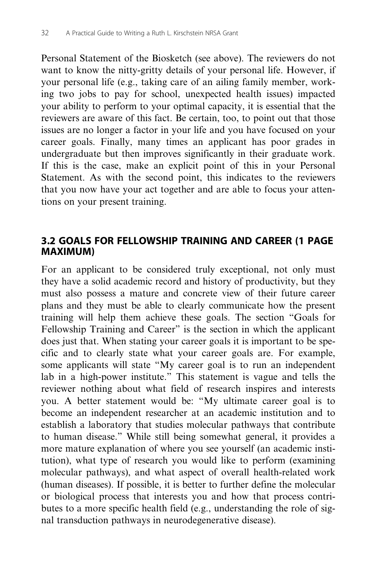Personal Statement of the Biosketch (see above). The reviewers do not want to know the nitty-gritty details of your personal life. However, if your personal life (e.g., taking care of an ailing family member, working two jobs to pay for school, unexpected health issues) impacted your ability to perform to your optimal capacity, it is essential that the reviewers are aware of this fact. Be certain, too, to point out that those issues are no longer a factor in your life and you have focused on your career goals. Finally, many times an applicant has poor grades in undergraduate but then improves significantly in their graduate work. If this is the case, make an explicit point of this in your Personal Statement. As with the second point, this indicates to the reviewers that you now have your act together and are able to focus your attentions on your present training.

### 3.2 GOALS FOR FELLOWSHIP TRAINING AND CAREER (1 PAGE MAXIMUM)

For an applicant to be considered truly exceptional, not only must they have a solid academic record and history of productivity, but they must also possess a mature and concrete view of their future career plans and they must be able to clearly communicate how the present training will help them achieve these goals. The section "Goals for Fellowship Training and Career" is the section in which the applicant does just that. When stating your career goals it is important to be specific and to clearly state what your career goals are. For example, some applicants will state "My career goal is to run an independent lab in a high-power institute." This statement is vague and tells the reviewer nothing about what field of research inspires and interests you. A better statement would be: "My ultimate career goal is to become an independent researcher at an academic institution and to establish a laboratory that studies molecular pathways that contribute to human disease." While still being somewhat general, it provides a more mature explanation of where you see yourself (an academic institution), what type of research you would like to perform (examining molecular pathways), and what aspect of overall health-related work (human diseases). If possible, it is better to further define the molecular or biological process that interests you and how that process contributes to a more specific health field (e.g., understanding the role of signal transduction pathways in neurodegenerative disease).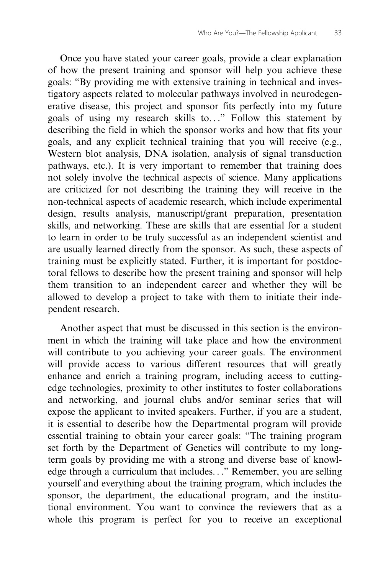Once you have stated your career goals, provide a clear explanation of how the present training and sponsor will help you achieve these goals: "By providing me with extensive training in technical and investigatory aspects related to molecular pathways involved in neurodegenerative disease, this project and sponsor fits perfectly into my future goals of using my research skills to..." Follow this statement by describing the field in which the sponsor works and how that fits your goals, and any explicit technical training that you will receive (e.g., Western blot analysis, DNA isolation, analysis of signal transduction pathways, etc.). It is very important to remember that training does not solely involve the technical aspects of science. Many applications are criticized for not describing the training they will receive in the non-technical aspects of academic research, which include experimental design, results analysis, manuscript/grant preparation, presentation skills, and networking. These are skills that are essential for a student to learn in order to be truly successful as an independent scientist and are usually learned directly from the sponsor. As such, these aspects of training must be explicitly stated. Further, it is important for postdoctoral fellows to describe how the present training and sponsor will help them transition to an independent career and whether they will be allowed to develop a project to take with them to initiate their independent research.

Another aspect that must be discussed in this section is the environment in which the training will take place and how the environment will contribute to you achieving your career goals. The environment will provide access to various different resources that will greatly enhance and enrich a training program, including access to cuttingedge technologies, proximity to other institutes to foster collaborations and networking, and journal clubs and/or seminar series that will expose the applicant to invited speakers. Further, if you are a student, it is essential to describe how the Departmental program will provide essential training to obtain your career goals: "The training program set forth by the Department of Genetics will contribute to my longterm goals by providing me with a strong and diverse base of knowledge through a curriculum that includes..." Remember, you are selling yourself and everything about the training program, which includes the sponsor, the department, the educational program, and the institutional environment. You want to convince the reviewers that as a whole this program is perfect for you to receive an exceptional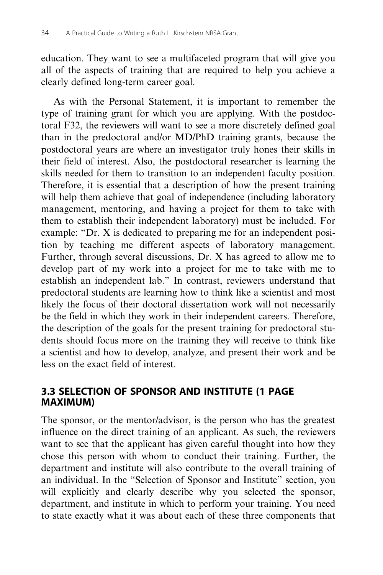education. They want to see a multifaceted program that will give you all of the aspects of training that are required to help you achieve a clearly defined long-term career goal.

As with the Personal Statement, it is important to remember the type of training grant for which you are applying. With the postdoctoral F32, the reviewers will want to see a more discretely defined goal than in the predoctoral and/or MD/PhD training grants, because the postdoctoral years are where an investigator truly hones their skills in their field of interest. Also, the postdoctoral researcher is learning the skills needed for them to transition to an independent faculty position. Therefore, it is essential that a description of how the present training will help them achieve that goal of independence (including laboratory management, mentoring, and having a project for them to take with them to establish their independent laboratory) must be included. For example: "Dr. X is dedicated to preparing me for an independent position by teaching me different aspects of laboratory management. Further, through several discussions, Dr. X has agreed to allow me to develop part of my work into a project for me to take with me to establish an independent lab." In contrast, reviewers understand that predoctoral students are learning how to think like a scientist and most likely the focus of their doctoral dissertation work will not necessarily be the field in which they work in their independent careers. Therefore, the description of the goals for the present training for predoctoral students should focus more on the training they will receive to think like a scientist and how to develop, analyze, and present their work and be less on the exact field of interest.

## 3.3 SELECTION OF SPONSOR AND INSTITUTE (1 PAGE MAXIMUM)

The sponsor, or the mentor/advisor, is the person who has the greatest influence on the direct training of an applicant. As such, the reviewers want to see that the applicant has given careful thought into how they chose this person with whom to conduct their training. Further, the department and institute will also contribute to the overall training of an individual. In the "Selection of Sponsor and Institute" section, you will explicitly and clearly describe why you selected the sponsor, department, and institute in which to perform your training. You need to state exactly what it was about each of these three components that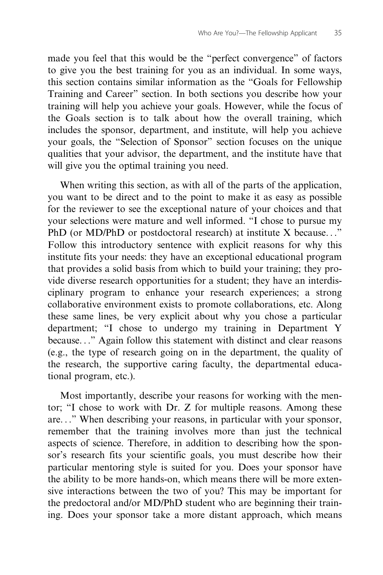made you feel that this would be the "perfect convergence" of factors to give you the best training for you as an individual. In some ways, this section contains similar information as the "Goals for Fellowship Training and Career" section. In both sections you describe how your training will help you achieve your goals. However, while the focus of the Goals section is to talk about how the overall training, which includes the sponsor, department, and institute, will help you achieve your goals, the "Selection of Sponsor" section focuses on the unique qualities that your advisor, the department, and the institute have that will give you the optimal training you need.

When writing this section, as with all of the parts of the application, you want to be direct and to the point to make it as easy as possible for the reviewer to see the exceptional nature of your choices and that your selections were mature and well informed. "I chose to pursue my PhD (or MD/PhD or postdoctoral research) at institute X because..." Follow this introductory sentence with explicit reasons for why this institute fits your needs: they have an exceptional educational program that provides a solid basis from which to build your training; they provide diverse research opportunities for a student; they have an interdisciplinary program to enhance your research experiences; a strong collaborative environment exists to promote collaborations, etc. Along these same lines, be very explicit about why you chose a particular department; "I chose to undergo my training in Department Y because..." Again follow this statement with distinct and clear reasons (e.g., the type of research going on in the department, the quality of the research, the supportive caring faculty, the departmental educational program, etc.).

Most importantly, describe your reasons for working with the mentor; "I chose to work with Dr. Z for multiple reasons. Among these are..." When describing your reasons, in particular with your sponsor, remember that the training involves more than just the technical aspects of science. Therefore, in addition to describing how the sponsor's research fits your scientific goals, you must describe how their particular mentoring style is suited for you. Does your sponsor have the ability to be more hands-on, which means there will be more extensive interactions between the two of you? This may be important for the predoctoral and/or MD/PhD student who are beginning their training. Does your sponsor take a more distant approach, which means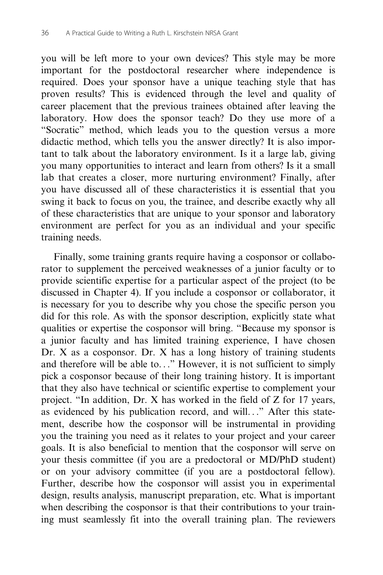you will be left more to your own devices? This style may be more important for the postdoctoral researcher where independence is required. Does your sponsor have a unique teaching style that has proven results? This is evidenced through the level and quality of career placement that the previous trainees obtained after leaving the laboratory. How does the sponsor teach? Do they use more of a "Socratic" method, which leads you to the question versus a more didactic method, which tells you the answer directly? It is also important to talk about the laboratory environment. Is it a large lab, giving you many opportunities to interact and learn from others? Is it a small lab that creates a closer, more nurturing environment? Finally, after you have discussed all of these characteristics it is essential that you swing it back to focus on you, the trainee, and describe exactly why all of these characteristics that are unique to your sponsor and laboratory environment are perfect for you as an individual and your specific training needs.

Finally, some training grants require having a cosponsor or collaborator to supplement the perceived weaknesses of a junior faculty or to provide scientific expertise for a particular aspect of the project (to be discussed in Chapter 4). If you include a cosponsor or collaborator, it is necessary for you to describe why you chose the specific person you did for this role. As with the sponsor description, explicitly state what qualities or expertise the cosponsor will bring. "Because my sponsor is a junior faculty and has limited training experience, I have chosen Dr. X as a cosponsor. Dr. X has a long history of training students and therefore will be able to..." However, it is not sufficient to simply pick a cosponsor because of their long training history. It is important that they also have technical or scientific expertise to complement your project. "In addition, Dr. X has worked in the field of Z for 17 years, as evidenced by his publication record, and will..." After this statement, describe how the cosponsor will be instrumental in providing you the training you need as it relates to your project and your career goals. It is also beneficial to mention that the cosponsor will serve on your thesis committee (if you are a predoctoral or MD/PhD student) or on your advisory committee (if you are a postdoctoral fellow). Further, describe how the cosponsor will assist you in experimental design, results analysis, manuscript preparation, etc. What is important when describing the cosponsor is that their contributions to your training must seamlessly fit into the overall training plan. The reviewers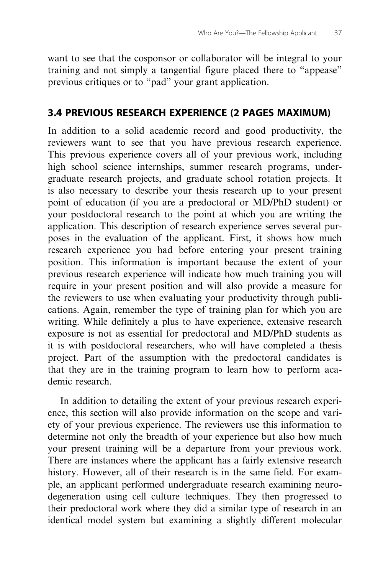want to see that the cosponsor or collaborator will be integral to your training and not simply a tangential figure placed there to "appease" previous critiques or to "pad" your grant application.

#### 3.4 PREVIOUS RESEARCH EXPERIENCE (2 PAGES MAXIMUM)

In addition to a solid academic record and good productivity, the reviewers want to see that you have previous research experience. This previous experience covers all of your previous work, including high school science internships, summer research programs, undergraduate research projects, and graduate school rotation projects. It is also necessary to describe your thesis research up to your present point of education (if you are a predoctoral or MD/PhD student) or your postdoctoral research to the point at which you are writing the application. This description of research experience serves several purposes in the evaluation of the applicant. First, it shows how much research experience you had before entering your present training position. This information is important because the extent of your previous research experience will indicate how much training you will require in your present position and will also provide a measure for the reviewers to use when evaluating your productivity through publications. Again, remember the type of training plan for which you are writing. While definitely a plus to have experience, extensive research exposure is not as essential for predoctoral and MD/PhD students as it is with postdoctoral researchers, who will have completed a thesis project. Part of the assumption with the predoctoral candidates is that they are in the training program to learn how to perform academic research.

In addition to detailing the extent of your previous research experience, this section will also provide information on the scope and variety of your previous experience. The reviewers use this information to determine not only the breadth of your experience but also how much your present training will be a departure from your previous work. There are instances where the applicant has a fairly extensive research history. However, all of their research is in the same field. For example, an applicant performed undergraduate research examining neurodegeneration using cell culture techniques. They then progressed to their predoctoral work where they did a similar type of research in an identical model system but examining a slightly different molecular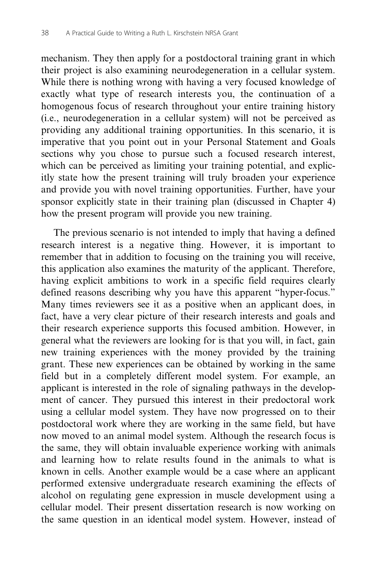mechanism. They then apply for a postdoctoral training grant in which their project is also examining neurodegeneration in a cellular system. While there is nothing wrong with having a very focused knowledge of exactly what type of research interests you, the continuation of a homogenous focus of research throughout your entire training history (i.e., neurodegeneration in a cellular system) will not be perceived as providing any additional training opportunities. In this scenario, it is imperative that you point out in your Personal Statement and Goals sections why you chose to pursue such a focused research interest, which can be perceived as limiting your training potential, and explicitly state how the present training will truly broaden your experience and provide you with novel training opportunities. Further, have your sponsor explicitly state in their training plan (discussed in Chapter 4) how the present program will provide you new training.

The previous scenario is not intended to imply that having a defined research interest is a negative thing. However, it is important to remember that in addition to focusing on the training you will receive, this application also examines the maturity of the applicant. Therefore, having explicit ambitions to work in a specific field requires clearly defined reasons describing why you have this apparent "hyper-focus." Many times reviewers see it as a positive when an applicant does, in fact, have a very clear picture of their research interests and goals and their research experience supports this focused ambition. However, in general what the reviewers are looking for is that you will, in fact, gain new training experiences with the money provided by the training grant. These new experiences can be obtained by working in the same field but in a completely different model system. For example, an applicant is interested in the role of signaling pathways in the development of cancer. They pursued this interest in their predoctoral work using a cellular model system. They have now progressed on to their postdoctoral work where they are working in the same field, but have now moved to an animal model system. Although the research focus is the same, they will obtain invaluable experience working with animals and learning how to relate results found in the animals to what is known in cells. Another example would be a case where an applicant performed extensive undergraduate research examining the effects of alcohol on regulating gene expression in muscle development using a cellular model. Their present dissertation research is now working on the same question in an identical model system. However, instead of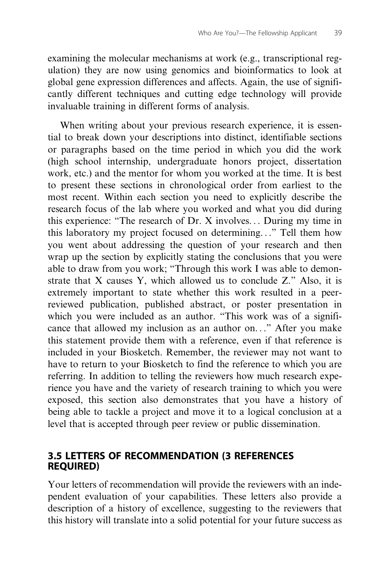examining the molecular mechanisms at work (e.g., transcriptional regulation) they are now using genomics and bioinformatics to look at global gene expression differences and affects. Again, the use of significantly different techniques and cutting edge technology will provide invaluable training in different forms of analysis.

When writing about your previous research experience, it is essential to break down your descriptions into distinct, identifiable sections or paragraphs based on the time period in which you did the work (high school internship, undergraduate honors project, dissertation work, etc.) and the mentor for whom you worked at the time. It is best to present these sections in chronological order from earliest to the most recent. Within each section you need to explicitly describe the research focus of the lab where you worked and what you did during this experience: "The research of Dr. X involves... During my time in this laboratory my project focused on determining..." Tell them how you went about addressing the question of your research and then wrap up the section by explicitly stating the conclusions that you were able to draw from you work; "Through this work I was able to demonstrate that X causes Y, which allowed us to conclude Z." Also, it is extremely important to state whether this work resulted in a peerreviewed publication, published abstract, or poster presentation in which you were included as an author. "This work was of a significance that allowed my inclusion as an author on..." After you make this statement provide them with a reference, even if that reference is included in your Biosketch. Remember, the reviewer may not want to have to return to your Biosketch to find the reference to which you are referring. In addition to telling the reviewers how much research experience you have and the variety of research training to which you were exposed, this section also demonstrates that you have a history of being able to tackle a project and move it to a logical conclusion at a level that is accepted through peer review or public dissemination.

#### 3.5 LETTERS OF RECOMMENDATION (3 REFERENCES REQUIRED)

Your letters of recommendation will provide the reviewers with an independent evaluation of your capabilities. These letters also provide a description of a history of excellence, suggesting to the reviewers that this history will translate into a solid potential for your future success as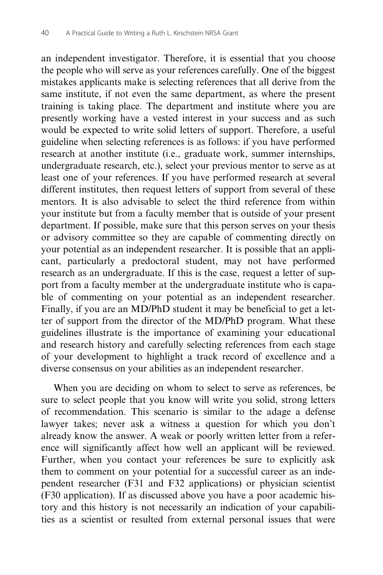an independent investigator. Therefore, it is essential that you choose the people who will serve as your references carefully. One of the biggest mistakes applicants make is selecting references that all derive from the same institute, if not even the same department, as where the present training is taking place. The department and institute where you are presently working have a vested interest in your success and as such would be expected to write solid letters of support. Therefore, a useful guideline when selecting references is as follows: if you have performed research at another institute (i.e., graduate work, summer internships, undergraduate research, etc.), select your previous mentor to serve as at least one of your references. If you have performed research at several different institutes, then request letters of support from several of these mentors. It is also advisable to select the third reference from within your institute but from a faculty member that is outside of your present department. If possible, make sure that this person serves on your thesis or advisory committee so they are capable of commenting directly on your potential as an independent researcher. It is possible that an applicant, particularly a predoctoral student, may not have performed research as an undergraduate. If this is the case, request a letter of support from a faculty member at the undergraduate institute who is capable of commenting on your potential as an independent researcher. Finally, if you are an MD/PhD student it may be beneficial to get a letter of support from the director of the MD/PhD program. What these guidelines illustrate is the importance of examining your educational and research history and carefully selecting references from each stage of your development to highlight a track record of excellence and a diverse consensus on your abilities as an independent researcher.

When you are deciding on whom to select to serve as references, be sure to select people that you know will write you solid, strong letters of recommendation. This scenario is similar to the adage a defense lawyer takes; never ask a witness a question for which you don't already know the answer. A weak or poorly written letter from a reference will significantly affect how well an applicant will be reviewed. Further, when you contact your references be sure to explicitly ask them to comment on your potential for a successful career as an independent researcher (F31 and F32 applications) or physician scientist (F30 application). If as discussed above you have a poor academic history and this history is not necessarily an indication of your capabilities as a scientist or resulted from external personal issues that were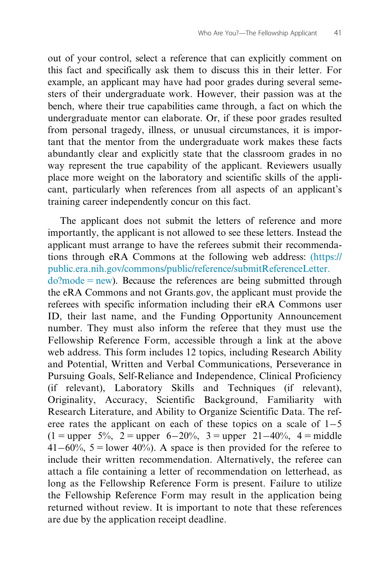out of your control, select a reference that can explicitly comment on this fact and specifically ask them to discuss this in their letter. For example, an applicant may have had poor grades during several semesters of their undergraduate work. However, their passion was at the bench, where their true capabilities came through, a fact on which the undergraduate mentor can elaborate. Or, if these poor grades resulted from personal tragedy, illness, or unusual circumstances, it is important that the mentor from the undergraduate work makes these facts abundantly clear and explicitly state that the classroom grades in no way represent the true capability of the applicant. Reviewers usually place more weight on the laboratory and scientific skills of the applicant, particularly when references from all aspects of an applicant's training career independently concur on this fact.

The applicant does not submit the letters of reference and more importantly, the applicant is not allowed to see these letters. Instead the applicant must arrange to have the referees submit their recommendations through eRA Commons at the following web address: [\(https://](http://public.era.nih.gov/commons/public/reference/submitReferenceLetter.do?mode=new) [public.era.nih.gov/commons/public/reference/submitReferenceLetter.](http://public.era.nih.gov/commons/public/reference/submitReferenceLetter.do?mode=new)  $do?mode = new$  $do?mode = new$ ). Because the references are being submitted through the eRA Commons and not Grants.gov, the applicant must provide the referees with specific information including their eRA Commons user ID, their last name, and the Funding Opportunity Announcement number. They must also inform the referee that they must use the Fellowship Reference Form, accessible through a link at the above web address. This form includes 12 topics, including Research Ability and Potential, Written and Verbal Communications, Perseverance in Pursuing Goals, Self-Reliance and Independence, Clinical Proficiency (if relevant), Laboratory Skills and Techniques (if relevant), Originality, Accuracy, Scientific Background, Familiarity with Research Literature, and Ability to Organize Scientific Data. The referee rates the applicant on each of these topics on a scale of  $1-5$  $(1 = upper 5\%, 2 = upper 6-20\%, 3 = upper 21-40\%, 4 = middle$  $41-60\%$ ,  $5 =$ lower  $40\%$ ). A space is then provided for the referee to include their written recommendation. Alternatively, the referee can attach a file containing a letter of recommendation on letterhead, as long as the Fellowship Reference Form is present. Failure to utilize the Fellowship Reference Form may result in the application being returned without review. It is important to note that these references are due by the application receipt deadline.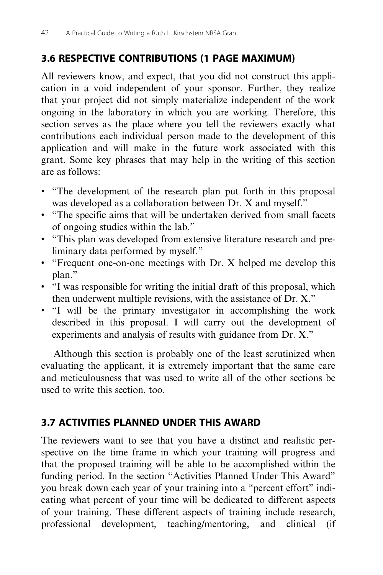## 3.6 RESPECTIVE CONTRIBUTIONS (1 PAGE MAXIMUM)

All reviewers know, and expect, that you did not construct this application in a void independent of your sponsor. Further, they realize that your project did not simply materialize independent of the work ongoing in the laboratory in which you are working. Therefore, this section serves as the place where you tell the reviewers exactly what contributions each individual person made to the development of this application and will make in the future work associated with this grant. Some key phrases that may help in the writing of this section are as follows:

- "The development of the research plan put forth in this proposal was developed as a collaboration between Dr. X and myself."
- "The specific aims that will be undertaken derived from small facets of ongoing studies within the lab."
- "This plan was developed from extensive literature research and preliminary data performed by myself."
- "Frequent one-on-one meetings with Dr. X helped me develop this plan."
- "I was responsible for writing the initial draft of this proposal, which then underwent multiple revisions, with the assistance of Dr. X."
- "I will be the primary investigator in accomplishing the work described in this proposal. I will carry out the development of experiments and analysis of results with guidance from Dr. X."

Although this section is probably one of the least scrutinized when evaluating the applicant, it is extremely important that the same care and meticulousness that was used to write all of the other sections be used to write this section, too.

# 3.7 ACTIVITIES PLANNED UNDER THIS AWARD

The reviewers want to see that you have a distinct and realistic perspective on the time frame in which your training will progress and that the proposed training will be able to be accomplished within the funding period. In the section "Activities Planned Under This Award" you break down each year of your training into a "percent effort" indicating what percent of your time will be dedicated to different aspects of your training. These different aspects of training include research, professional development, teaching/mentoring, and clinical (if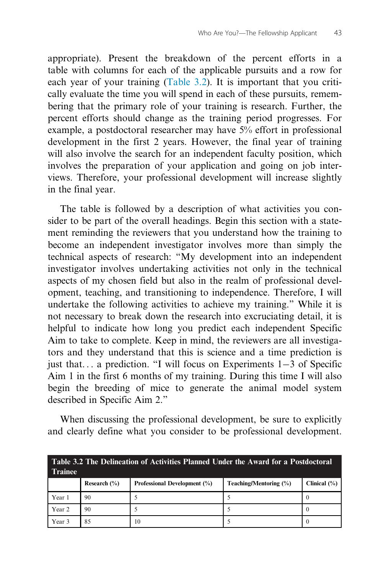appropriate). Present the breakdown of the percent efforts in a table with columns for each of the applicable pursuits and a row for each year of your training (Table 3.2). It is important that you critically evaluate the time you will spend in each of these pursuits, remembering that the primary role of your training is research. Further, the percent efforts should change as the training period progresses. For example, a postdoctoral researcher may have 5% effort in professional development in the first 2 years. However, the final year of training will also involve the search for an independent faculty position, which involves the preparation of your application and going on job interviews. Therefore, your professional development will increase slightly in the final year.

The table is followed by a description of what activities you consider to be part of the overall headings. Begin this section with a statement reminding the reviewers that you understand how the training to become an independent investigator involves more than simply the technical aspects of research: "My development into an independent investigator involves undertaking activities not only in the technical aspects of my chosen field but also in the realm of professional development, teaching, and transitioning to independence. Therefore, I will undertake the following activities to achieve my training." While it is not necessary to break down the research into excruciating detail, it is helpful to indicate how long you predict each independent Specific Aim to take to complete. Keep in mind, the reviewers are all investigators and they understand that this is science and a time prediction is just that... a prediction. "I will focus on Experiments  $1-3$  of Specific Aim 1 in the first 6 months of my training. During this time I will also begin the breeding of mice to generate the animal model system described in Specific Aim 2."

When discussing the professional development, be sure to explicitly and clearly define what you consider to be professional development.

| Table 3.2 The Delineation of Activities Planned Under the Award for a Postdoctoral<br><b>Trainee</b> |                  |                              |                        |                  |  |
|------------------------------------------------------------------------------------------------------|------------------|------------------------------|------------------------|------------------|--|
|                                                                                                      | Research $(\% )$ | Professional Development (%) | Teaching/Mentoring (%) | Clinical $(\% )$ |  |
| Year 1                                                                                               | 90               |                              |                        |                  |  |
| l Year 2                                                                                             | 90               |                              |                        | 0                |  |
| Year 3                                                                                               | 85               | 10                           |                        | 0                |  |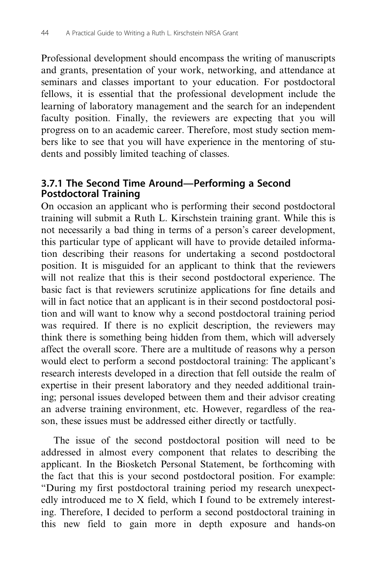Professional development should encompass the writing of manuscripts and grants, presentation of your work, networking, and attendance at seminars and classes important to your education. For postdoctoral fellows, it is essential that the professional development include the learning of laboratory management and the search for an independent faculty position. Finally, the reviewers are expecting that you will progress on to an academic career. Therefore, most study section members like to see that you will have experience in the mentoring of students and possibly limited teaching of classes.

### 3.7.1 The Second Time Around—Performing a Second Postdoctoral Training

On occasion an applicant who is performing their second postdoctoral training will submit a Ruth L. Kirschstein training grant. While this is not necessarily a bad thing in terms of a person's career development, this particular type of applicant will have to provide detailed information describing their reasons for undertaking a second postdoctoral position. It is misguided for an applicant to think that the reviewers will not realize that this is their second postdoctoral experience. The basic fact is that reviewers scrutinize applications for fine details and will in fact notice that an applicant is in their second postdoctoral position and will want to know why a second postdoctoral training period was required. If there is no explicit description, the reviewers may think there is something being hidden from them, which will adversely affect the overall score. There are a multitude of reasons why a person would elect to perform a second postdoctoral training: The applicant's research interests developed in a direction that fell outside the realm of expertise in their present laboratory and they needed additional training; personal issues developed between them and their advisor creating an adverse training environment, etc. However, regardless of the reason, these issues must be addressed either directly or tactfully.

The issue of the second postdoctoral position will need to be addressed in almost every component that relates to describing the applicant. In the Biosketch Personal Statement, be forthcoming with the fact that this is your second postdoctoral position. For example: "During my first postdoctoral training period my research unexpectedly introduced me to X field, which I found to be extremely interesting. Therefore, I decided to perform a second postdoctoral training in this new field to gain more in depth exposure and hands-on